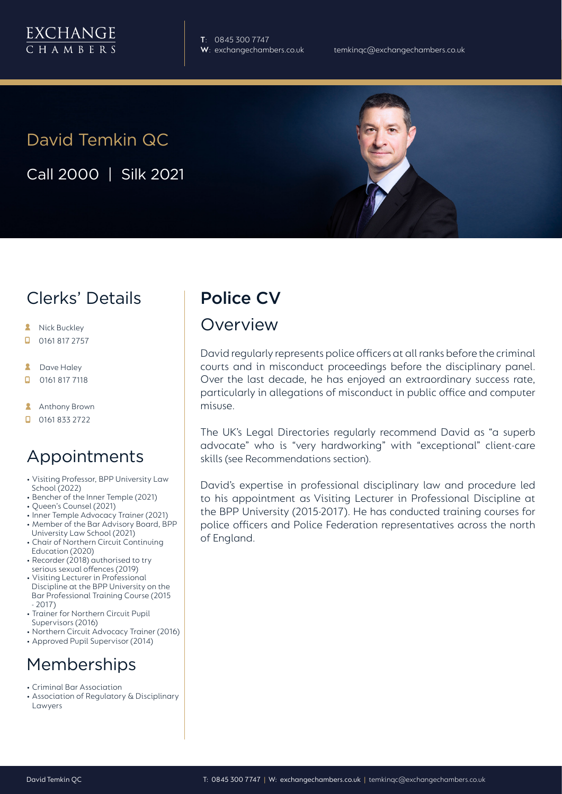**T**: 0845 300 7747

# David Temkin QC

Call 2000 | Silk 2021

## Clerks' Details

- **A** Nick Buckley
- $\Box$  0161 817 2757
- $\mathbf{R}$ Dave Haley
- $\Box$ 0161 817 7118
- **Anthony Brown**
- $\Box$  0161 833 2722

### Appointments

- Visiting Professor, BPP University Law School (2022)
- Bencher of the Inner Temple (2021)
- Queen's Counsel (2021)
- Inner Temple Advocacy Trainer (2021) • Member of the Bar Advisory Board, BPP University Law School (2021)
- Chair of Northern Circuit Continuing Education (2020)
- Recorder (2018) authorised to try serious sexual offences (2019)
- Visiting Lecturer in Professional Discipline at the BPP University on the Bar Professional Training Course (2015 - 2017)
- Trainer for Northern Circuit Pupil Supervisors (2016)
- Northern Circuit Advocacy Trainer (2016)
- Approved Pupil Supervisor (2014)

### **Memberships**

- Criminal Bar Association
- Association of Regulatory & Disciplinary Lawyers

## Police CV

### **Overview**

David regularly represents police officers at all ranks before the criminal courts and in misconduct proceedings before the disciplinary panel. Over the last decade, he has enjoyed an extraordinary success rate, particularly in allegations of misconduct in public office and computer misuse.

The UK's Legal Directories regularly recommend David as "a superb advocate" who is "very hardworking" with "exceptional" client-care skills (see Recommendations section).

David's expertise in professional disciplinary law and procedure led to his appointment as Visiting Lecturer in Professional Discipline at the BPP University (2015-2017). He has conducted training courses for police officers and Police Federation representatives across the north of England.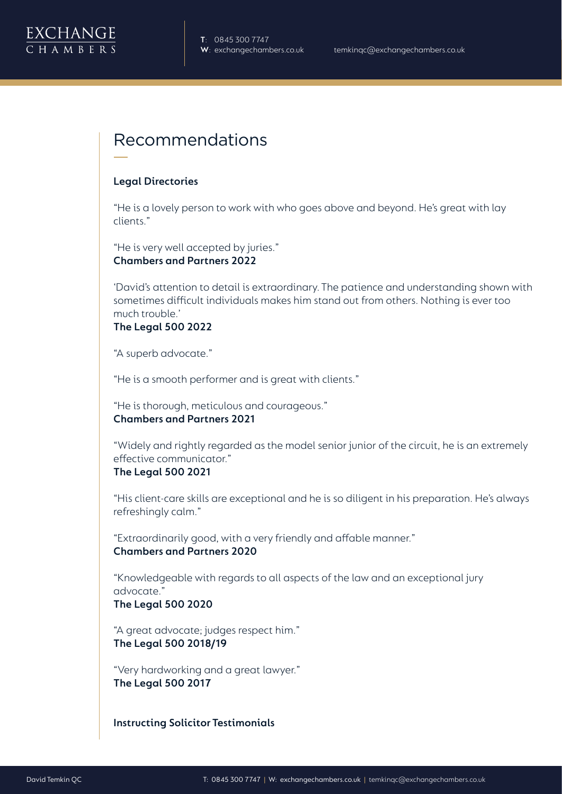

### Recommendations

#### **Legal Directories**

"He is a lovely person to work with who goes above and beyond. He's great with lay clients."

"He is very well accepted by juries." **Chambers and Partners 2022**

'David's attention to detail is extraordinary. The patience and understanding shown with sometimes difficult individuals makes him stand out from others. Nothing is ever too much trouble.'

#### **The Legal 500 2022**

"A superb advocate."

"He is a smooth performer and is great with clients."

"He is thorough, meticulous and courageous." **Chambers and Partners 2021**

"Widely and rightly regarded as the model senior junior of the circuit, he is an extremely effective communicator."

#### **The Legal 500 2021**

"His client-care skills are exceptional and he is so diligent in his preparation. He's always refreshingly calm."

"Extraordinarily good, with a very friendly and affable manner." **Chambers and Partners 2020**

"Knowledgeable with regards to all aspects of the law and an exceptional jury advocate."

#### **The Legal 500 2020**

"A great advocate; judges respect him." **The Legal 500 2018/19**

"Very hardworking and a great lawyer." **The Legal 500 2017**

**Instructing Solicitor Testimonials**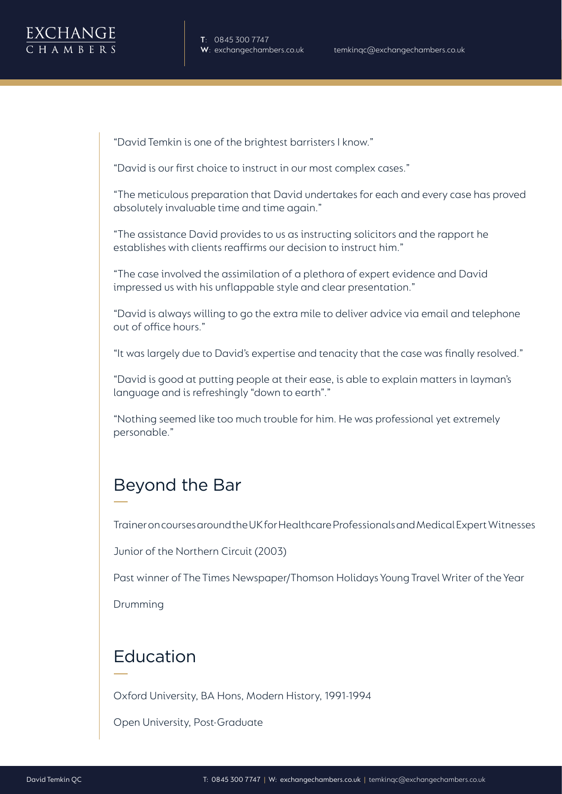"David Temkin is one of the brightest barristers I know."

"David is our first choice to instruct in our most complex cases."

"The meticulous preparation that David undertakes for each and every case has proved absolutely invaluable time and time again."

"The assistance David provides to us as instructing solicitors and the rapport he establishes with clients reaffirms our decision to instruct him."

"The case involved the assimilation of a plethora of expert evidence and David impressed us with his unflappable style and clear presentation."

"David is always willing to go the extra mile to deliver advice via email and telephone out of office hours."

"It was largely due to David's expertise and tenacity that the case was finally resolved."

"David is good at putting people at their ease, is able to explain matters in layman's language and is refreshingly "down to earth"."

"Nothing seemed like too much trouble for him. He was professional yet extremely personable."

## Beyond the Bar

Trainer on courses around the UK for Healthcare Professionals and Medical Expert Witnesses

Junior of the Northern Circuit (2003)

Past winner of The Times Newspaper/Thomson Holidays Young Travel Writer of the Year

Drumming

## Education

Oxford University, BA Hons, Modern History, 1991-1994

Open University, Post-Graduate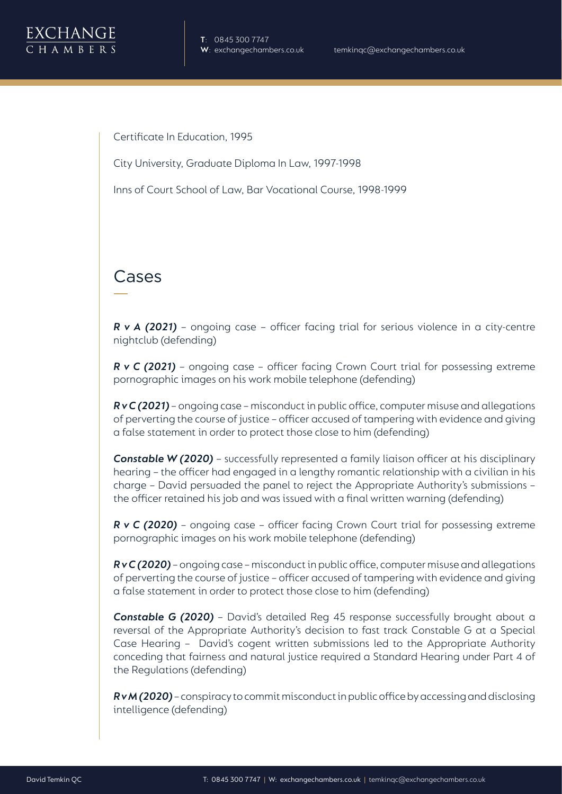Certificate In Education, 1995

City University, Graduate Diploma In Law, 1997-1998

Inns of Court School of Law, Bar Vocational Course, 1998-1999

## Cases

*R v A (2021)* – ongoing case – officer facing trial for serious violence in a city-centre nightclub (defending)

*R v C (2021)* – ongoing case – officer facing Crown Court trial for possessing extreme pornographic images on his work mobile telephone (defending)

*R v C (2021)* – ongoing case – misconduct in public office, computer misuse and allegations of perverting the course of justice – officer accused of tampering with evidence and giving a false statement in order to protect those close to him (defending)

**Constable W (2020)** – successfully represented a family liaison officer at his disciplinary hearing – the officer had engaged in a lengthy romantic relationship with a civilian in his charge – David persuaded the panel to reject the Appropriate Authority's submissions – the officer retained his job and was issued with a final written warning (defending)

*R v C (2020) –* ongoing case – officer facing Crown Court trial for possessing extreme pornographic images on his work mobile telephone (defending)

*R v C (2020)* – ongoing case – misconduct in public office, computer misuse and allegations of perverting the course of justice – officer accused of tampering with evidence and giving a false statement in order to protect those close to him (defending)

**Constable G (2020)** - David's detailed Reg 45 response successfully brought about a reversal of the Appropriate Authority's decision to fast track Constable G at a Special Case Hearing – David's cogent written submissions led to the Appropriate Authority conceding that fairness and natural justice required a Standard Hearing under Part 4 of the Regulations (defending)

*R v M (2020)* – conspiracy to commit misconduct in public office by accessing and disclosing intelligence (defending)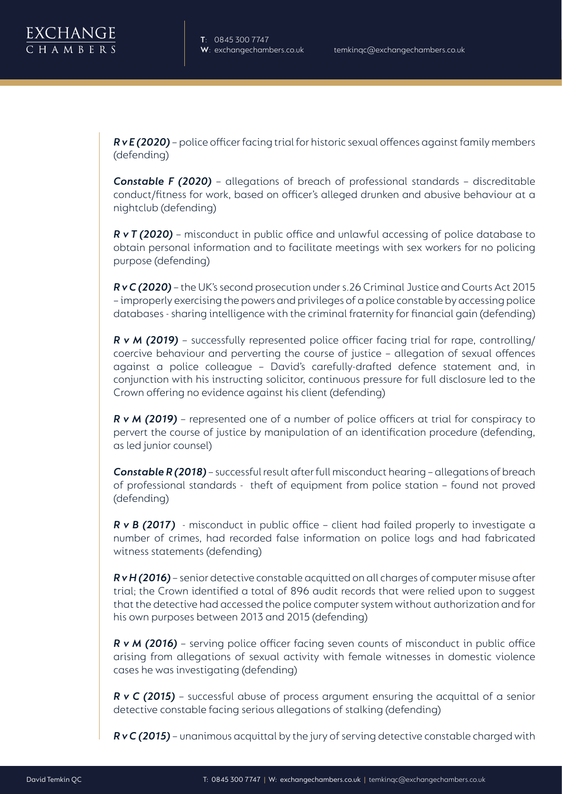*R v E (2020)* – police officer facing trial for historic sexual offences against family members (defending)

*Constable F (2020)* – allegations of breach of professional standards – discreditable conduct/fitness for work, based on officer's alleged drunken and abusive behaviour at a nightclub (defending)

*R v T (2020)* – misconduct in public office and unlawful accessing of police database to obtain personal information and to facilitate meetings with sex workers for no policing purpose (defending)

*R v C (2020)* – the UK's second prosecution under s.26 Criminal Justice and Courts Act 2015 – improperly exercising the powers and privileges of a police constable by accessing police databases - sharing intelligence with the criminal fraternity for financial gain (defending)

*R v M (2019)* – successfully represented police officer facing trial for rape, controlling/ coercive behaviour and perverting the course of justice – allegation of sexual offences against a police colleague – David's carefully-drafted defence statement and, in conjunction with his instructing solicitor, continuous pressure for full disclosure led to the Crown offering no evidence against his client (defending)

*R v M (2019)* – represented one of a number of police officers at trial for conspiracy to pervert the course of justice by manipulation of an identification procedure (defending, as led junior counsel)

**Constable R (2018)** – successful result after full misconduct hearing – allegations of breach of professional standards - theft of equipment from police station – found not proved (defending)

*R v B (2017)* - misconduct in public office – client had failed properly to investigate a number of crimes, had recorded false information on police logs and had fabricated witness statements (defending)

*R v H (2016)* – senior detective constable acquitted on all charges of computer misuse after trial; the Crown identified a total of 896 audit records that were relied upon to suggest that the detective had accessed the police computer system without authorization and for his own purposes between 2013 and 2015 (defending)

*R v M (2016)* – serving police officer facing seven counts of misconduct in public office arising from allegations of sexual activity with female witnesses in domestic violence cases he was investigating (defending)

*R v C (2015)* – successful abuse of process argument ensuring the acquittal of a senior detective constable facing serious allegations of stalking (defending)

*R v C (2015)* – unanimous acquittal by the jury of serving detective constable charged with